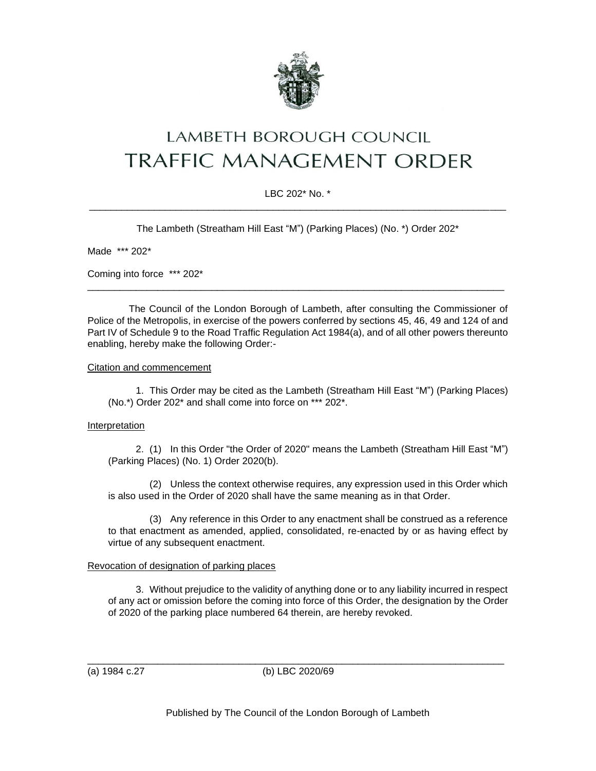

# LAMBETH BOROUGH COUNCIL **TRAFFIC MANAGEMENT ORDER**

## LBC 202\* No. \* \_\_\_\_\_\_\_\_\_\_\_\_\_\_\_\_\_\_\_\_\_\_\_\_\_\_\_\_\_\_\_\_\_\_\_\_\_\_\_\_\_\_\_\_\_\_\_\_\_\_\_\_\_\_\_\_\_\_\_\_\_\_\_\_\_\_\_\_\_\_\_\_\_\_\_\_\_

The Lambeth (Streatham Hill East "M") (Parking Places) (No. \*) Order 202\*

Made \*\*\* 202\*

Coming into force \*\*\* 202\*

The Council of the London Borough of Lambeth, after consulting the Commissioner of Police of the Metropolis, in exercise of the powers conferred by sections 45, 46, 49 and 124 of and Part IV of Schedule 9 to the Road Traffic Regulation Act 1984(a), and of all other powers thereunto enabling, hereby make the following Order:-

\_\_\_\_\_\_\_\_\_\_\_\_\_\_\_\_\_\_\_\_\_\_\_\_\_\_\_\_\_\_\_\_\_\_\_\_\_\_\_\_\_\_\_\_\_\_\_\_\_\_\_\_\_\_\_\_\_\_\_\_\_\_\_\_\_\_\_\_\_\_\_\_\_\_\_\_\_

#### Citation and commencement

1. This Order may be cited as the Lambeth (Streatham Hill East "M") (Parking Places) (No.\*) Order 202\* and shall come into force on \*\*\* 202\*.

### Interpretation

2. (1) In this Order "the Order of 2020" means the Lambeth (Streatham Hill East "M") (Parking Places) (No. 1) Order 2020(b).

(2) Unless the context otherwise requires, any expression used in this Order which is also used in the Order of 2020 shall have the same meaning as in that Order.

(3) Any reference in this Order to any enactment shall be construed as a reference to that enactment as amended, applied, consolidated, re-enacted by or as having effect by virtue of any subsequent enactment.

### Revocation of designation of parking places

3. Without prejudice to the validity of anything done or to any liability incurred in respect of any act or omission before the coming into force of this Order, the designation by the Order of 2020 of the parking place numbered 64 therein, are hereby revoked.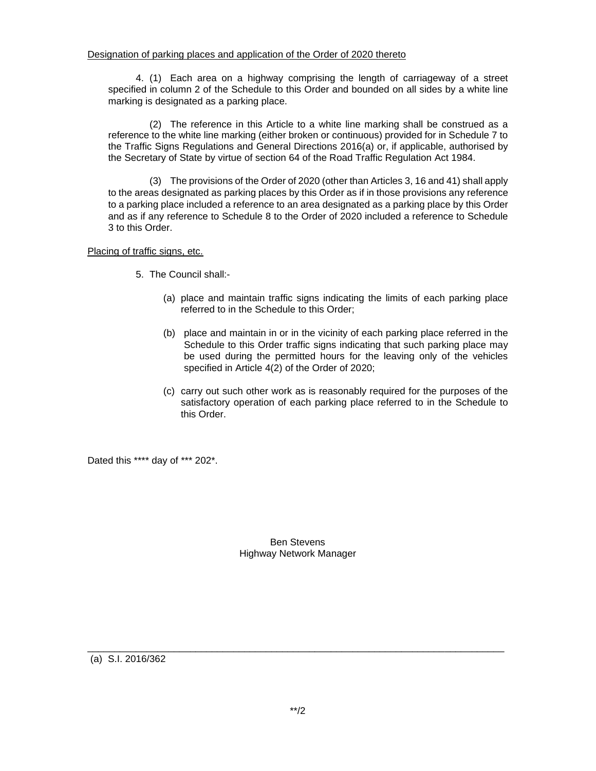4. (1) Each area on a highway comprising the length of carriageway of a street specified in column 2 of the Schedule to this Order and bounded on all sides by a white line marking is designated as a parking place.

(2) The reference in this Article to a white line marking shall be construed as a reference to the white line marking (either broken or continuous) provided for in Schedule 7 to the Traffic Signs Regulations and General Directions 2016(a) or, if applicable, authorised by the Secretary of State by virtue of section 64 of the Road Traffic Regulation Act 1984.

(3) The provisions of the Order of 2020 (other than Articles 3, 16 and 41) shall apply to the areas designated as parking places by this Order as if in those provisions any reference to a parking place included a reference to an area designated as a parking place by this Order and as if any reference to Schedule 8 to the Order of 2020 included a reference to Schedule 3 to this Order.

Placing of traffic signs, etc.

- 5. The Council shall:-
	- (a) place and maintain traffic signs indicating the limits of each parking place referred to in the Schedule to this Order;
	- (b) place and maintain in or in the vicinity of each parking place referred in the Schedule to this Order traffic signs indicating that such parking place may be used during the permitted hours for the leaving only of the vehicles specified in Article 4(2) of the Order of 2020;
	- (c) carry out such other work as is reasonably required for the purposes of the satisfactory operation of each parking place referred to in the Schedule to this Order.

Dated this \*\*\*\* day of \*\*\* 202\*.

### Ben Stevens Highway Network Manager

(a) S.I. 2016/362

\_\_\_\_\_\_\_\_\_\_\_\_\_\_\_\_\_\_\_\_\_\_\_\_\_\_\_\_\_\_\_\_\_\_\_\_\_\_\_\_\_\_\_\_\_\_\_\_\_\_\_\_\_\_\_\_\_\_\_\_\_\_\_\_\_\_\_\_\_\_\_\_\_\_\_\_\_